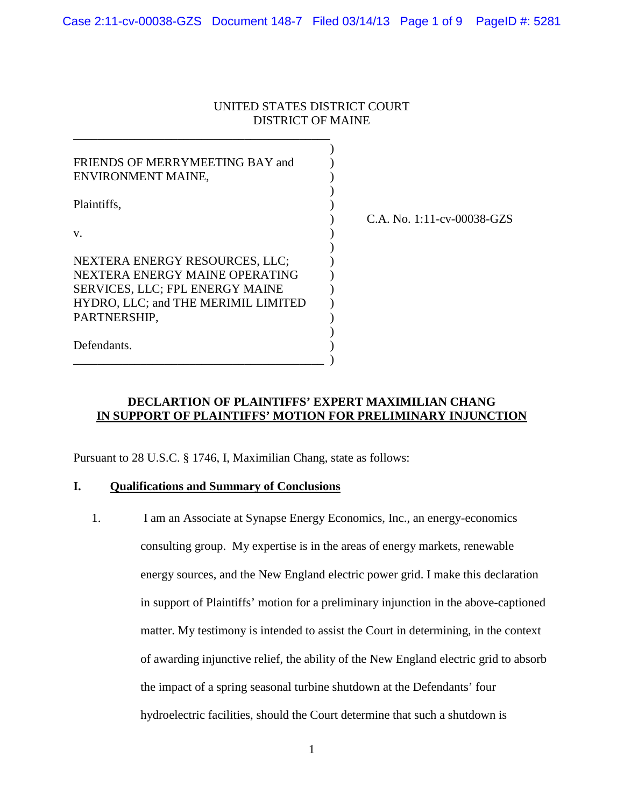## UNITED STATES DISTRICT COURT DISTRICT OF MAINE

| FRIENDS OF MERRYMEETING BAY and     |                               |
|-------------------------------------|-------------------------------|
| ENVIRONMENT MAINE,                  |                               |
| Plaintiffs,                         |                               |
|                                     | C.A. No. $1:11$ -cv-00038-GZS |
| V.                                  |                               |
| NEXTERA ENERGY RESOURCES, LLC;      |                               |
| NEXTERA ENERGY MAINE OPERATING      |                               |
| SERVICES, LLC; FPL ENERGY MAINE     |                               |
| HYDRO, LLC; and THE MERIMIL LIMITED |                               |
| PARTNERSHIP,                        |                               |
|                                     |                               |
| Defendants.                         |                               |
|                                     |                               |

## **DECLARTION OF PLAINTIFFS' EXPERT MAXIMILIAN CHANG IN SUPPORT OF PLAINTIFFS' MOTION FOR PRELIMINARY INJUNCTION**

Pursuant to 28 U.S.C. § 1746, I, Maximilian Chang, state as follows:

### **I. Qualifications and Summary of Conclusions**

1. I am an Associate at Synapse Energy Economics, Inc., an energy-economics consulting group. My expertise is in the areas of energy markets, renewable energy sources, and the New England electric power grid. I make this declaration in support of Plaintiffs' motion for a preliminary injunction in the above-captioned matter. My testimony is intended to assist the Court in determining, in the context of awarding injunctive relief, the ability of the New England electric grid to absorb the impact of a spring seasonal turbine shutdown at the Defendants' four hydroelectric facilities, should the Court determine that such a shutdown is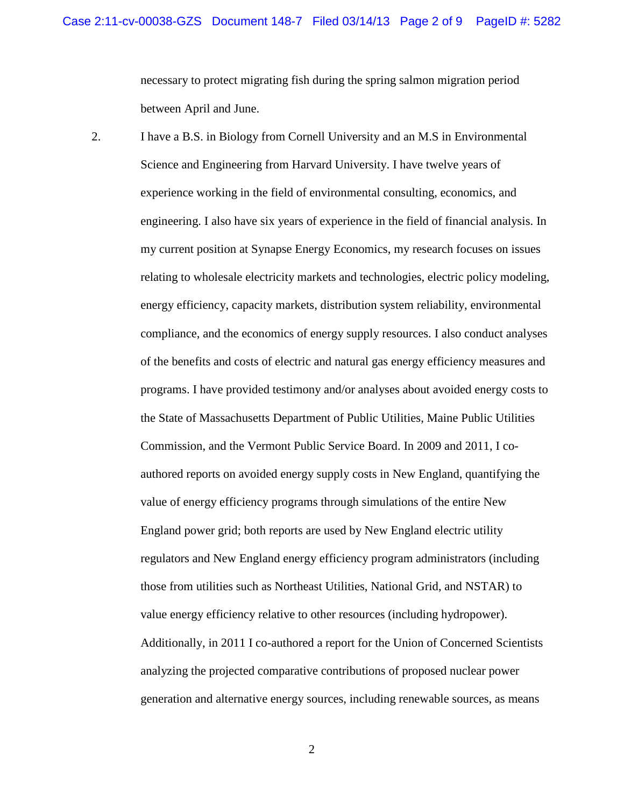necessary to protect migrating fish during the spring salmon migration period between April and June.

2. I have a B.S. in Biology from Cornell University and an M.S in Environmental Science and Engineering from Harvard University. I have twelve years of experience working in the field of environmental consulting, economics, and engineering. I also have six years of experience in the field of financial analysis. In my current position at Synapse Energy Economics, my research focuses on issues relating to wholesale electricity markets and technologies, electric policy modeling, energy efficiency, capacity markets, distribution system reliability, environmental compliance, and the economics of energy supply resources. I also conduct analyses of the benefits and costs of electric and natural gas energy efficiency measures and programs. I have provided testimony and/or analyses about avoided energy costs to the State of Massachusetts Department of Public Utilities, Maine Public Utilities Commission, and the Vermont Public Service Board. In 2009 and 2011, I coauthored reports on avoided energy supply costs in New England, quantifying the value of energy efficiency programs through simulations of the entire New England power grid; both reports are used by New England electric utility regulators and New England energy efficiency program administrators (including those from utilities such as Northeast Utilities, National Grid, and NSTAR) to value energy efficiency relative to other resources (including hydropower). Additionally, in 2011 I co-authored a report for the Union of Concerned Scientists analyzing the projected comparative contributions of proposed nuclear power generation and alternative energy sources, including renewable sources, as means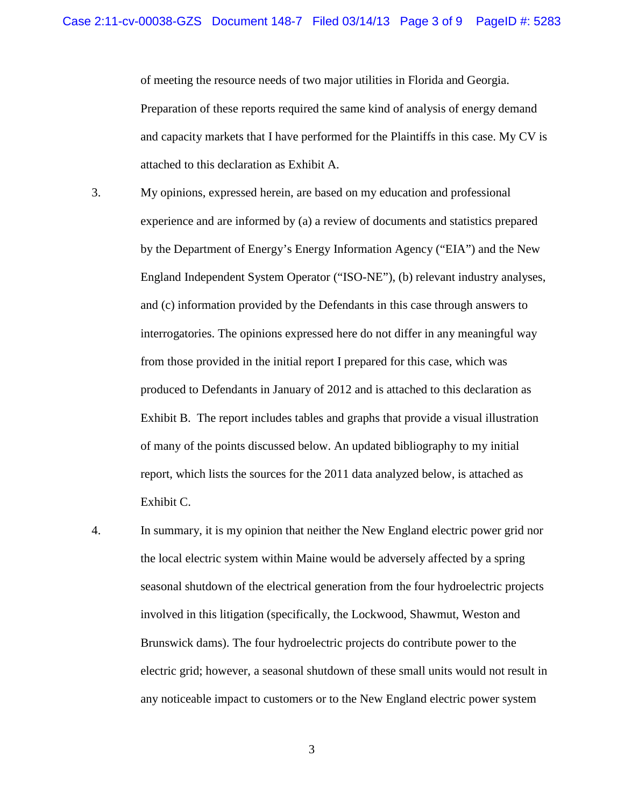of meeting the resource needs of two major utilities in Florida and Georgia. Preparation of these reports required the same kind of analysis of energy demand and capacity markets that I have performed for the Plaintiffs in this case. My CV is attached to this declaration as Exhibit A.

- 3. My opinions, expressed herein, are based on my education and professional experience and are informed by (a) a review of documents and statistics prepared by the Department of Energy's Energy Information Agency ("EIA") and the New England Independent System Operator ("ISO-NE"), (b) relevant industry analyses, and (c) information provided by the Defendants in this case through answers to interrogatories. The opinions expressed here do not differ in any meaningful way from those provided in the initial report I prepared for this case, which was produced to Defendants in January of 2012 and is attached to this declaration as Exhibit B. The report includes tables and graphs that provide a visual illustration of many of the points discussed below. An updated bibliography to my initial report, which lists the sources for the 2011 data analyzed below, is attached as Exhibit C.
- 4. In summary, it is my opinion that neither the New England electric power grid nor the local electric system within Maine would be adversely affected by a spring seasonal shutdown of the electrical generation from the four hydroelectric projects involved in this litigation (specifically, the Lockwood, Shawmut, Weston and Brunswick dams). The four hydroelectric projects do contribute power to the electric grid; however, a seasonal shutdown of these small units would not result in any noticeable impact to customers or to the New England electric power system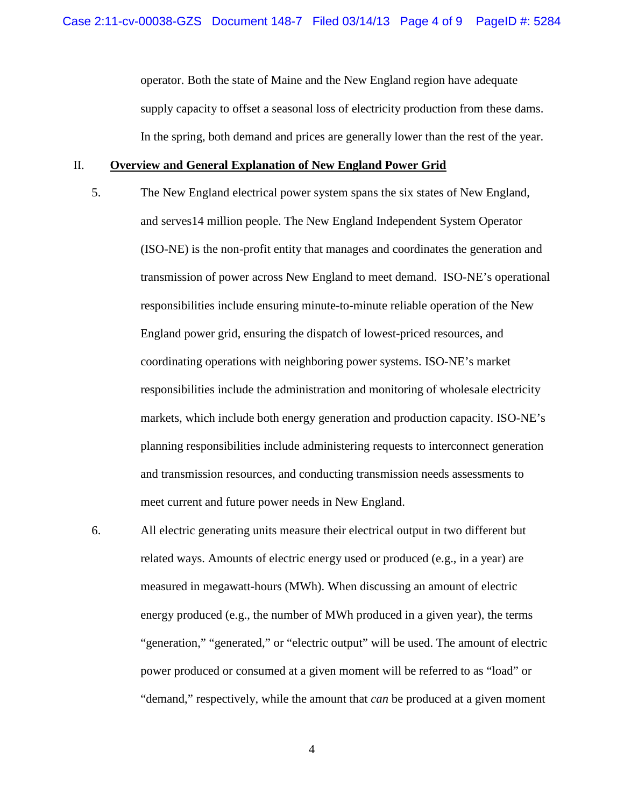operator. Both the state of Maine and the New England region have adequate supply capacity to offset a seasonal loss of electricity production from these dams. In the spring, both demand and prices are generally lower than the rest of the year.

#### II. **Overview and General Explanation of New England Power Grid**

- 5. The New England electrical power system spans the six states of New England, and serves14 million people. The New England Independent System Operator (ISO-NE) is the non-profit entity that manages and coordinates the generation and transmission of power across New England to meet demand. ISO-NE's operational responsibilities include ensuring minute-to-minute reliable operation of the New England power grid, ensuring the dispatch of lowest-priced resources, and coordinating operations with neighboring power systems. ISO-NE's market responsibilities include the administration and monitoring of wholesale electricity markets, which include both energy generation and production capacity. ISO-NE's planning responsibilities include administering requests to interconnect generation and transmission resources, and conducting transmission needs assessments to meet current and future power needs in New England.
- 6. All electric generating units measure their electrical output in two different but related ways. Amounts of electric energy used or produced (e.g., in a year) are measured in megawatt-hours (MWh). When discussing an amount of electric energy produced (e.g., the number of MWh produced in a given year), the terms "generation," "generated," or "electric output" will be used. The amount of electric power produced or consumed at a given moment will be referred to as "load" or "demand," respectively, while the amount that *can* be produced at a given moment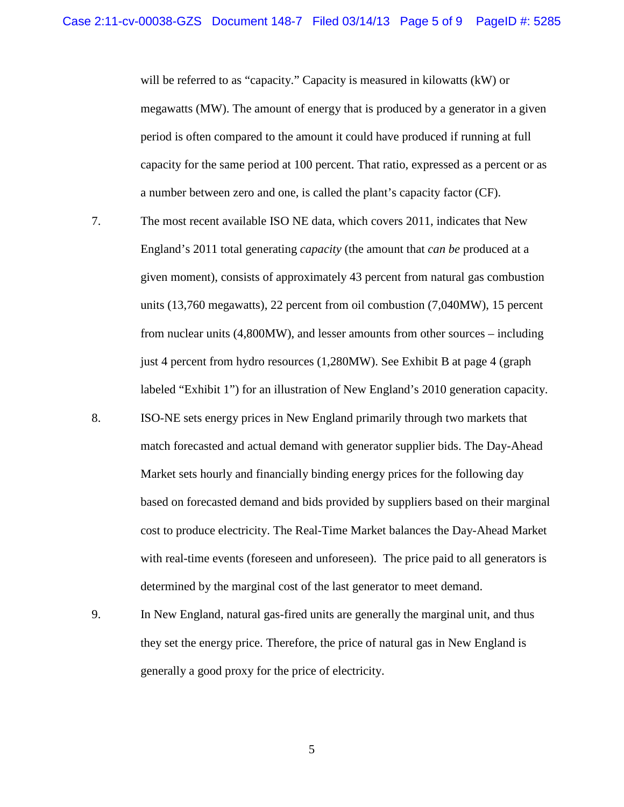will be referred to as "capacity." Capacity is measured in kilowatts (kW) or megawatts (MW). The amount of energy that is produced by a generator in a given period is often compared to the amount it could have produced if running at full capacity for the same period at 100 percent. That ratio, expressed as a percent or as a number between zero and one, is called the plant's capacity factor (CF).

- 7. The most recent available ISO NE data, which covers 2011, indicates that New England's 2011 total generating *capacity* (the amount that *can be* produced at a given moment), consists of approximately 43 percent from natural gas combustion units (13,760 megawatts), 22 percent from oil combustion (7,040MW), 15 percent from nuclear units (4,800MW), and lesser amounts from other sources – including just 4 percent from hydro resources (1,280MW). See Exhibit B at page 4 (graph labeled "Exhibit 1") for an illustration of New England's 2010 generation capacity.
- 8. ISO-NE sets energy prices in New England primarily through two markets that match forecasted and actual demand with generator supplier bids. The Day-Ahead Market sets hourly and financially binding energy prices for the following day based on forecasted demand and bids provided by suppliers based on their marginal cost to produce electricity. The Real-Time Market balances the Day-Ahead Market with real-time events (foreseen and unforeseen). The price paid to all generators is determined by the marginal cost of the last generator to meet demand.
- 9. In New England, natural gas-fired units are generally the marginal unit, and thus they set the energy price. Therefore, the price of natural gas in New England is generally a good proxy for the price of electricity.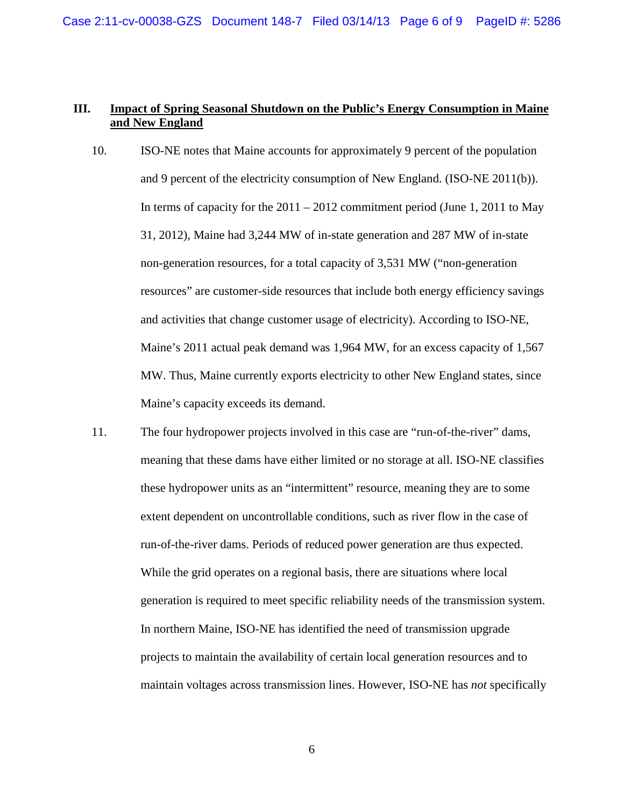## **III. Impact of Spring Seasonal Shutdown on the Public's Energy Consumption in Maine and New England**

- 10. ISO-NE notes that Maine accounts for approximately 9 percent of the population and 9 percent of the electricity consumption of New England. (ISO-NE 2011(b)). In terms of capacity for the  $2011 - 2012$  commitment period (June 1, 2011 to May 31, 2012), Maine had 3,244 MW of in-state generation and 287 MW of in-state non-generation resources, for a total capacity of 3,531 MW ("non-generation resources" are customer-side resources that include both energy efficiency savings and activities that change customer usage of electricity). According to ISO-NE, Maine's 2011 actual peak demand was 1,964 MW, for an excess capacity of 1,567 MW. Thus, Maine currently exports electricity to other New England states, since Maine's capacity exceeds its demand.
- 11. The four hydropower projects involved in this case are "run-of-the-river" dams, meaning that these dams have either limited or no storage at all. ISO-NE classifies these hydropower units as an "intermittent" resource, meaning they are to some extent dependent on uncontrollable conditions, such as river flow in the case of run-of-the-river dams. Periods of reduced power generation are thus expected. While the grid operates on a regional basis, there are situations where local generation is required to meet specific reliability needs of the transmission system. In northern Maine, ISO-NE has identified the need of transmission upgrade projects to maintain the availability of certain local generation resources and to maintain voltages across transmission lines. However, ISO-NE has *not* specifically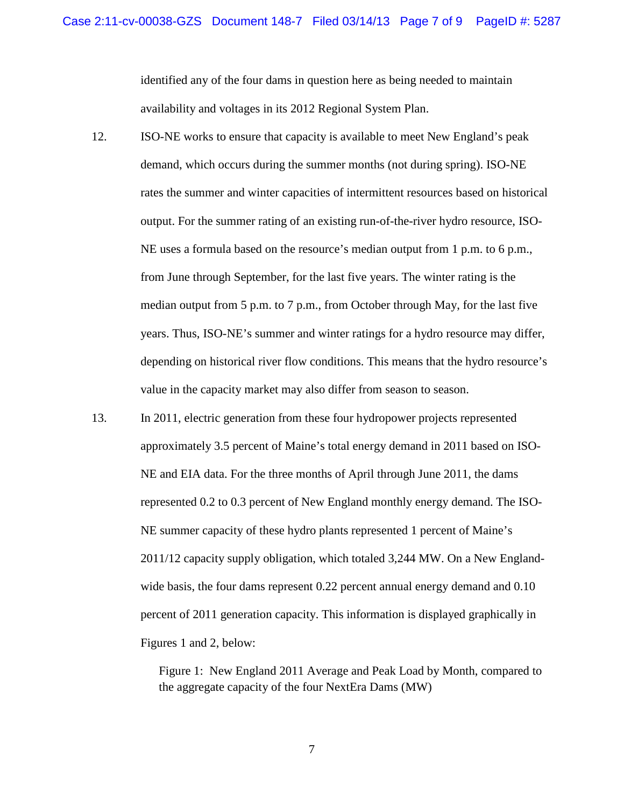identified any of the four dams in question here as being needed to maintain availability and voltages in its 2012 Regional System Plan.

- 12. ISO-NE works to ensure that capacity is available to meet New England's peak demand, which occurs during the summer months (not during spring). ISO-NE rates the summer and winter capacities of intermittent resources based on historical output. For the summer rating of an existing run-of-the-river hydro resource, ISO-NE uses a formula based on the resource's median output from 1 p.m. to 6 p.m., from June through September, for the last five years. The winter rating is the median output from 5 p.m. to 7 p.m., from October through May, for the last five years. Thus, ISO-NE's summer and winter ratings for a hydro resource may differ, depending on historical river flow conditions. This means that the hydro resource's value in the capacity market may also differ from season to season.
- 13. In 2011, electric generation from these four hydropower projects represented approximately 3.5 percent of Maine's total energy demand in 2011 based on ISO-NE and EIA data. For the three months of April through June 2011, the dams represented 0.2 to 0.3 percent of New England monthly energy demand. The ISO-NE summer capacity of these hydro plants represented 1 percent of Maine's 2011/12 capacity supply obligation, which totaled 3,244 MW. On a New Englandwide basis, the four dams represent 0.22 percent annual energy demand and 0.10 percent of 2011 generation capacity. This information is displayed graphically in Figures 1 and 2, below:

Figure 1: New England 2011 Average and Peak Load by Month, compared to the aggregate capacity of the four NextEra Dams (MW)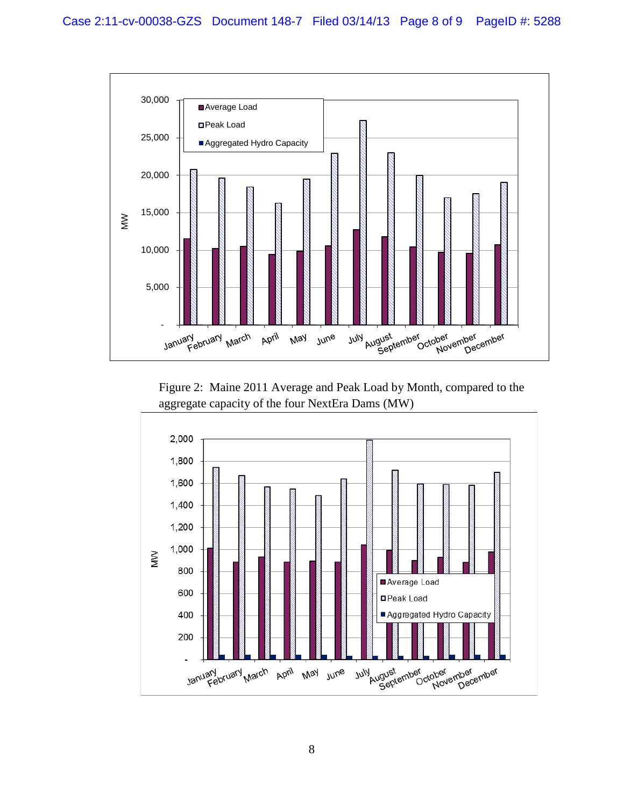

Figure 2: Maine 2011 Average and Peak Load by Month, compared to the aggregate capacity of the four NextEra Dams (MW)